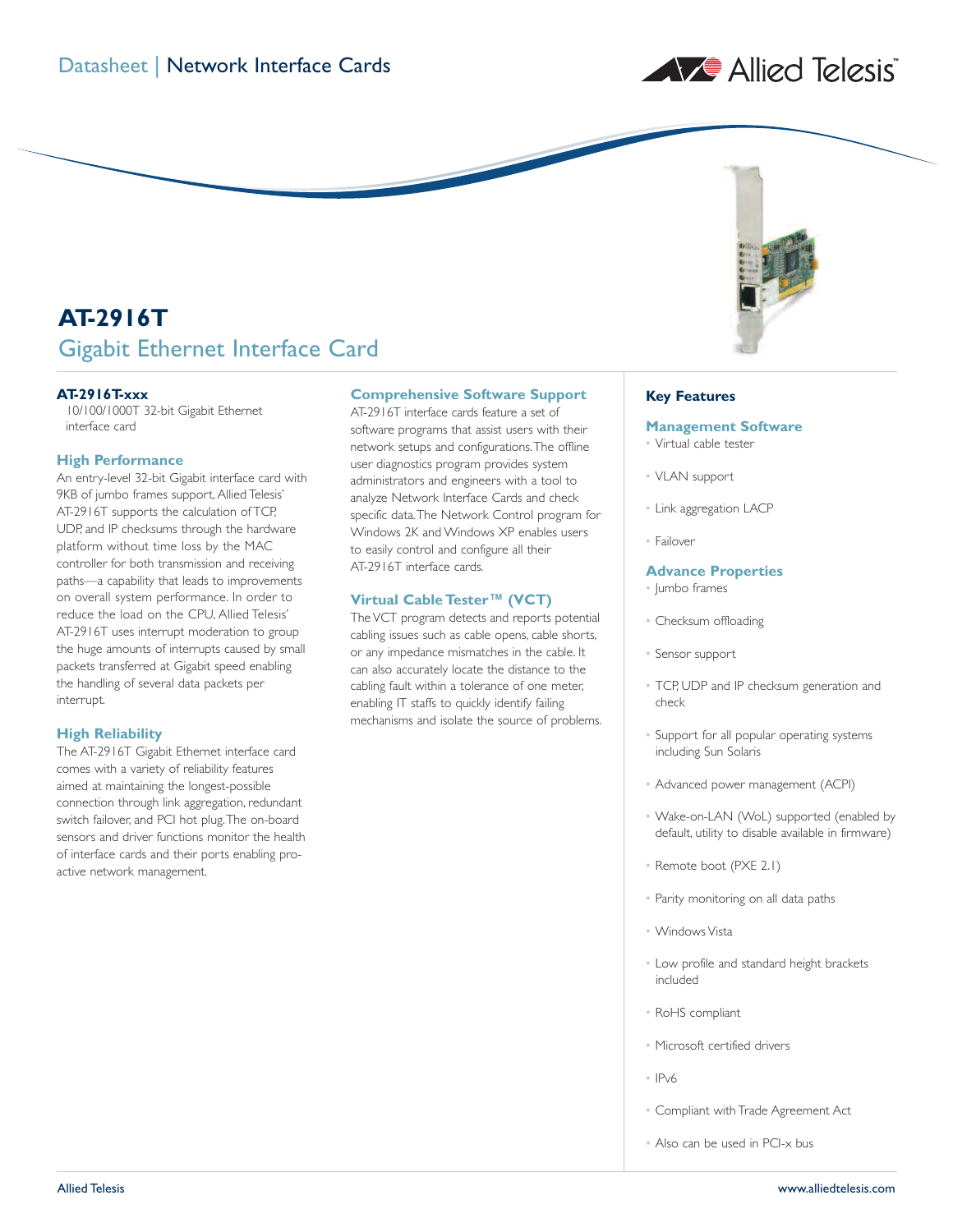# A Allied Telesis



## **AT-2916T** Gigabit Ethernet Interface Card

## **AT-2916T-xxx**

10/100/1000T 32-bit Gigabit Ethernet interface card

#### **High Performance**

An entry-level 32-bit Gigabit interface card with 9KB of jumbo frames support, Allied Telesis' AT-2916T supports the calculation of TCP, UDP, and IP checksums through the hardware platform without time loss by the MAC controller for both transmission and receiving paths—a capability that leads to improvements on overall system performance. In order to reduce the load on the CPU, Allied Telesis' AT-2916T uses interrupt moderation to group the huge amounts of interrupts caused by small packets transferred at Gigabit speed enabling the handling of several data packets per interrupt.

#### **High Reliability**

The AT-2916T Gigabit Ethernet interface card comes with a variety of reliability features aimed at maintaining the longest-possible connection through link aggregation, redundant switch failover, and PCI hot plug.The on-board sensors and driver functions monitor the health of interface cards and their ports enabling proactive network management.

## **Comprehensive Software Support**

AT-2916T interface cards feature a set of software programs that assist users with their network setups and configurations.The offline user diagnostics program provides system administrators and engineers with a tool to analyze Network Interface Cards and check specific data.The Network Control program for Windows 2K and Windows XP enables users to easily control and configure all their AT-2916T interface cards.

#### **Virtual Cable Tester™ (VCT)**

The VCT program detects and reports potential cabling issues such as cable opens, cable shorts, or any impedance mismatches in the cable. It can also accurately locate the distance to the cabling fault within a tolerance of one meter, enabling IT staffs to quickly identify failing mechanisms and isolate the source of problems.

#### **Key Features**

#### **Management Software**

- Virtual cable tester
- VLAN support
- Link aggregation LACP
- Failover

#### **Advance Properties**

- Jumbo frames
- Checksum offloading
- Sensor support
- TCP, UDP and IP checksum generation and check
- Support for all popular operating systems including Sun Solaris
- Advanced power management (ACPI)
- Wake-on-LAN (WoL) supported (enabled by default, utility to disable available in firmware)
- Remote boot (PXE 2.1)
- Parity monitoring on all data paths
- Windows Vista
- Low profile and standard height brackets included
- RoHS compliant
- Microsoft certified drivers
- IPv6
- Compliant with Trade Agreement Act
- Also can be used in PCI-x bus